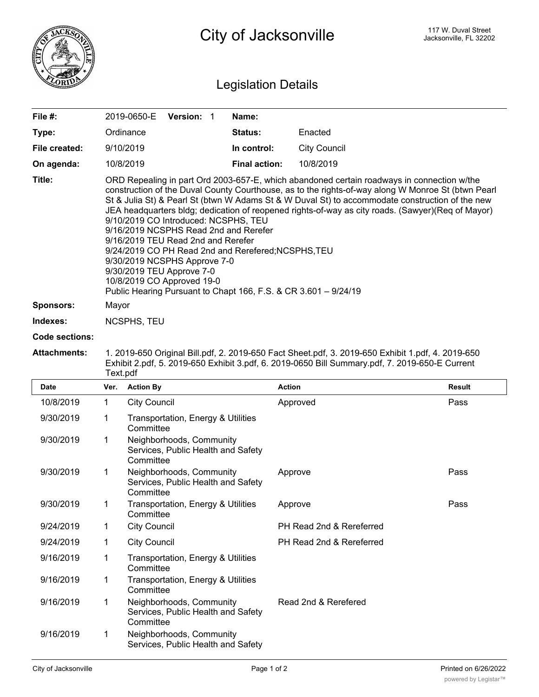

## Legislation Details

| File $#$ :       | 2019-0650-E                                                                                                                                                                                                                                                                                                                                                                                                                                                                                                                                                                                                                                                                                                                                           | <b>Version: 1</b> |  | Name:                |                     |  |  |
|------------------|-------------------------------------------------------------------------------------------------------------------------------------------------------------------------------------------------------------------------------------------------------------------------------------------------------------------------------------------------------------------------------------------------------------------------------------------------------------------------------------------------------------------------------------------------------------------------------------------------------------------------------------------------------------------------------------------------------------------------------------------------------|-------------------|--|----------------------|---------------------|--|--|
| Type:            | Ordinance                                                                                                                                                                                                                                                                                                                                                                                                                                                                                                                                                                                                                                                                                                                                             |                   |  | <b>Status:</b>       | Enacted             |  |  |
| File created:    | 9/10/2019                                                                                                                                                                                                                                                                                                                                                                                                                                                                                                                                                                                                                                                                                                                                             |                   |  | In control:          | <b>City Council</b> |  |  |
| On agenda:       | 10/8/2019                                                                                                                                                                                                                                                                                                                                                                                                                                                                                                                                                                                                                                                                                                                                             |                   |  | <b>Final action:</b> | 10/8/2019           |  |  |
| Title:           | ORD Repealing in part Ord 2003-657-E, which abandoned certain roadways in connection w/the<br>construction of the Duval County Courthouse, as to the rights-of-way along W Monroe St (btwn Pearl<br>St & Julia St) & Pearl St (btwn W Adams St & W Duval St) to accommodate construction of the new<br>JEA headquarters bldg; dedication of reopened rights-of-way as city roads. (Sawyer) (Req of Mayor)<br>9/10/2019 CO Introduced: NCSPHS, TEU<br>9/16/2019 NCSPHS Read 2nd and Rerefer<br>9/16/2019 TEU Read 2nd and Rerefer<br>9/24/2019 CO PH Read 2nd and Rerefered; NCSPHS, TEU<br>9/30/2019 NCSPHS Approve 7-0<br>9/30/2019 TEU Approve 7-0<br>10/8/2019 CO Approved 19-0<br>Public Hearing Pursuant to Chapt 166, F.S. & CR 3.601 - 9/24/19 |                   |  |                      |                     |  |  |
| <b>Sponsors:</b> | Mayor                                                                                                                                                                                                                                                                                                                                                                                                                                                                                                                                                                                                                                                                                                                                                 |                   |  |                      |                     |  |  |
| Indexes:         | NCSPHS, TEU                                                                                                                                                                                                                                                                                                                                                                                                                                                                                                                                                                                                                                                                                                                                           |                   |  |                      |                     |  |  |

## **Code sections:**

**Attachments:** 1. 2019-650 Original Bill.pdf, 2. 2019-650 Fact Sheet.pdf, 3. 2019-650 Exhibit 1.pdf, 4. 2019-650 Exhibit 2.pdf, 5. 2019-650 Exhibit 3.pdf, 6. 2019-0650 Bill Summary.pdf, 7. 2019-650-E Current Text.pdf

| Date      | Ver. | <b>Action By</b>                                                            | <b>Action</b>            | <b>Result</b> |
|-----------|------|-----------------------------------------------------------------------------|--------------------------|---------------|
| 10/8/2019 | 1    | <b>City Council</b>                                                         | Approved                 | Pass          |
| 9/30/2019 | 1    | Transportation, Energy & Utilities<br>Committee                             |                          |               |
| 9/30/2019 | 1    | Neighborhoods, Community<br>Services, Public Health and Safety<br>Committee |                          |               |
| 9/30/2019 | 1    | Neighborhoods, Community<br>Services, Public Health and Safety<br>Committee | Approve                  | Pass          |
| 9/30/2019 | 1    | Transportation, Energy & Utilities<br>Committee                             | Approve                  | Pass          |
| 9/24/2019 | 1    | <b>City Council</b>                                                         | PH Read 2nd & Rereferred |               |
| 9/24/2019 | 1    | <b>City Council</b>                                                         | PH Read 2nd & Rereferred |               |
| 9/16/2019 | 1    | Transportation, Energy & Utilities<br>Committee                             |                          |               |
| 9/16/2019 | 1    | Transportation, Energy & Utilities<br>Committee                             |                          |               |
| 9/16/2019 | 1    | Neighborhoods, Community<br>Services, Public Health and Safety<br>Committee | Read 2nd & Rerefered     |               |
| 9/16/2019 | 1    | Neighborhoods, Community<br>Services, Public Health and Safety              |                          |               |